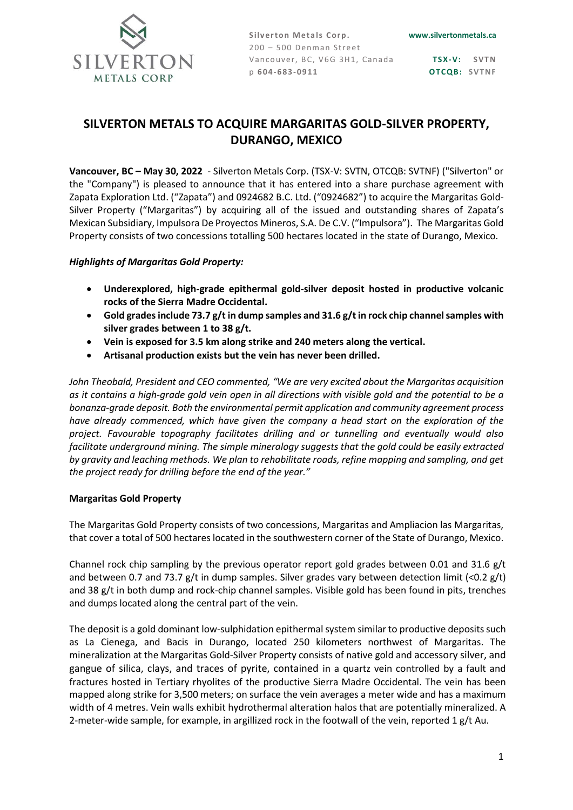

**Silverton Metals Corp.** 200 – 500 Denman Street Vancouver, BC, V6G 3H1, Canada p **6 04-683-09 11**

**TS X-V: S VT N OTCQB: SVTNF** 

# **SILVERTON METALS TO ACQUIRE MARGARITAS GOLD-SILVER PROPERTY, DURANGO, MEXICO**

**Vancouver, BC – May 30, 2022** - Silverton Metals Corp. (TSX-V: SVTN, OTCQB: SVTNF) ("Silverton" or the "Company") is pleased to announce that it has entered into a share purchase agreement with Zapata Exploration Ltd. ("Zapata") and 0924682 B.C. Ltd. ("0924682") to acquire the Margaritas Gold-Silver Property ("Margaritas") by acquiring all of the issued and outstanding shares of Zapata's Mexican Subsidiary, Impulsora De Proyectos Mineros, S.A. De C.V. ("Impulsora"). The Margaritas Gold Property consists of two concessions totalling 500 hectares located in the state of Durango, Mexico.

## *Highlights of Margaritas Gold Property:*

- **Underexplored, high-grade epithermal gold-silver deposit hosted in productive volcanic rocks of the Sierra Madre Occidental.**
- **Gold grades include 73.7 g/t in dump samples and 31.6 g/t in rock chip channel samples with silver grades between 1 to 38 g/t.**
- **Vein is exposed for 3.5 km along strike and 240 meters along the vertical.**
- **Artisanal production exists but the vein has never been drilled.**

*John Theobald, President and CEO commented, "We are very excited about the Margaritas acquisition as it contains a high-grade gold vein open in all directions with visible gold and the potential to be a bonanza-grade deposit. Both the environmental permit application and community agreement process have already commenced, which have given the company a head start on the exploration of the project. Favourable topography facilitates drilling and or tunnelling and eventually would also facilitate underground mining. The simple mineralogy suggests that the gold could be easily extracted by gravity and leaching methods. We plan to rehabilitate roads, refine mapping and sampling, and get the project ready for drilling before the end of the year."*

## **Margaritas Gold Property**

The Margaritas Gold Property consists of two concessions, Margaritas and Ampliacion las Margaritas, that cover a total of 500 hectares located in the southwestern corner of the State of Durango, Mexico.

Channel rock chip sampling by the previous operator report gold grades between 0.01 and 31.6 g/t and between 0.7 and 73.7 g/t in dump samples. Silver grades vary between detection limit (<0.2 g/t) and 38 g/t in both dump and rock-chip channel samples. Visible gold has been found in pits, trenches and dumps located along the central part of the vein.

The deposit is a gold dominant low-sulphidation epithermal system similar to productive deposits such as La Cienega, and Bacis in Durango, located 250 kilometers northwest of Margaritas. The mineralization at the Margaritas Gold-Silver Property consists of native gold and accessory silver, and gangue of silica, clays, and traces of pyrite, contained in a quartz vein controlled by a fault and fractures hosted in Tertiary rhyolites of the productive Sierra Madre Occidental. The vein has been mapped along strike for 3,500 meters; on surface the vein averages a meter wide and has a maximum width of 4 metres. Vein walls exhibit hydrothermal alteration halos that are potentially mineralized. A 2-meter-wide sample, for example, in argillized rock in the footwall of the vein, reported 1 g/t Au.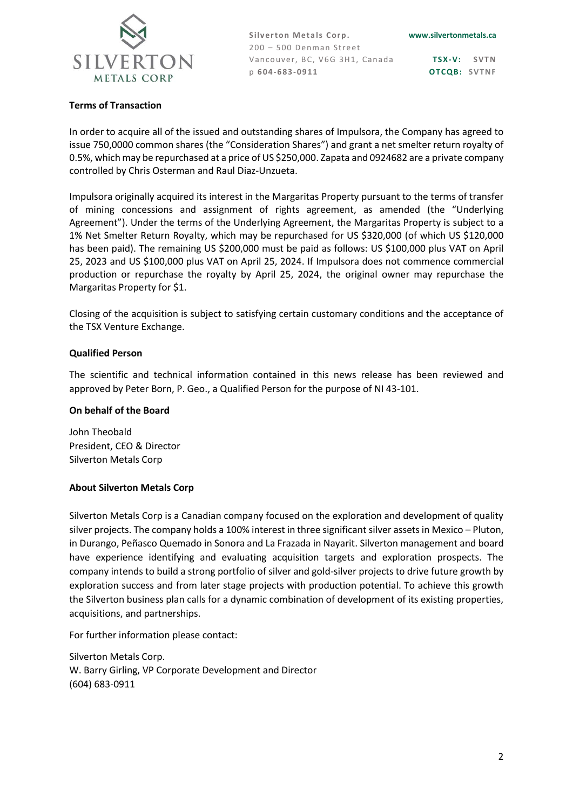

Silverton Metals Corp. 200 – 500 Denman Street Vancouver, BC, V6G 3H1, Canada p **6 04-683-09 11**

**TS X-V: S VT N OTCQB: SVTNF** 

#### **Terms of Transaction**

In order to acquire all of the issued and outstanding shares of Impulsora, the Company has agreed to issue 750,0000 common shares (the "Consideration Shares") and grant a net smelter return royalty of 0.5%, which may be repurchased at a price of US \$250,000. Zapata and 0924682 are a private company controlled by Chris Osterman and Raul Diaz-Unzueta.

Impulsora originally acquired its interest in the Margaritas Property pursuant to the terms of transfer of mining concessions and assignment of rights agreement, as amended (the "Underlying Agreement"). Under the terms of the Underlying Agreement, the Margaritas Property is subject to a 1% Net Smelter Return Royalty, which may be repurchased for US \$320,000 (of which US \$120,000 has been paid). The remaining US \$200,000 must be paid as follows: US \$100,000 plus VAT on April 25, 2023 and US \$100,000 plus VAT on April 25, 2024. If Impulsora does not commence commercial production or repurchase the royalty by April 25, 2024, the original owner may repurchase the Margaritas Property for \$1.

Closing of the acquisition is subject to satisfying certain customary conditions and the acceptance of the TSX Venture Exchange.

## **Qualified Person**

The scientific and technical information contained in this news release has been reviewed and approved by Peter Born, P. Geo., a Qualified Person for the purpose of NI 43-101.

#### **On behalf of the Board**

John Theobald President, CEO & Director Silverton Metals Corp

## **About Silverton Metals Corp**

Silverton Metals Corp is a Canadian company focused on the exploration and development of quality silver projects. The company holds a 100% interest in three significant silver assets in Mexico – Pluton, in Durango, Peñasco Quemado in Sonora and La Frazada in Nayarit. Silverton management and board have experience identifying and evaluating acquisition targets and exploration prospects. The company intends to build a strong portfolio of silver and gold-silver projects to drive future growth by exploration success and from later stage projects with production potential. To achieve this growth the Silverton business plan calls for a dynamic combination of development of its existing properties, acquisitions, and partnerships.

For further information please contact:

Silverton Metals Corp. W. Barry Girling, VP Corporate Development and Director (604) 683-0911